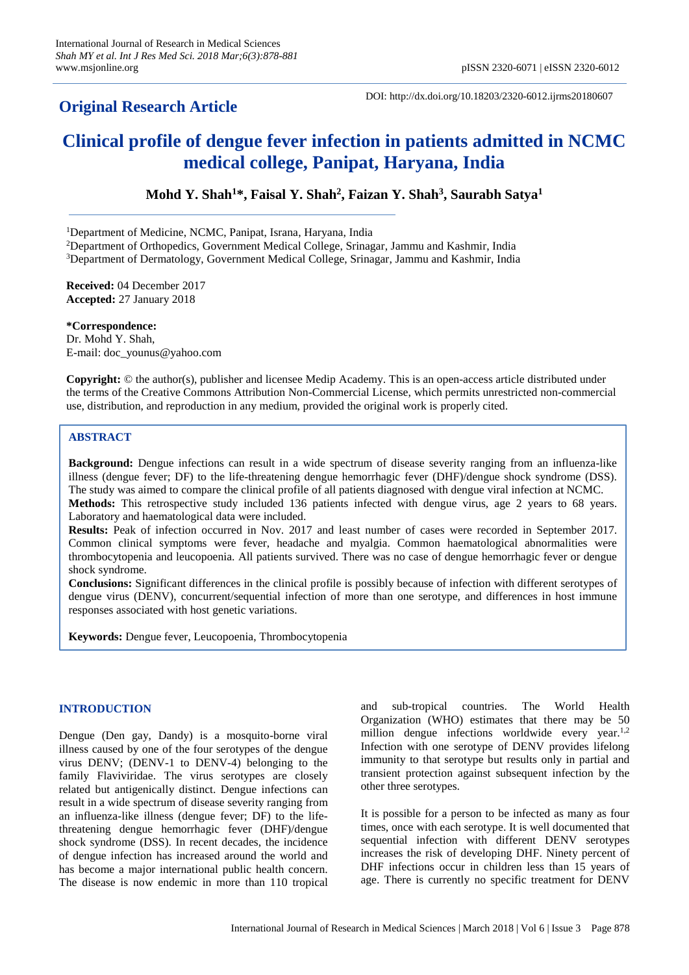# **Original Research Article**

DOI: http://dx.doi.org/10.18203/2320-6012.ijrms20180607

# **Clinical profile of dengue fever infection in patients admitted in NCMC medical college, Panipat, Haryana, India**

**Mohd Y. Shah<sup>1</sup>\*, Faisal Y. Shah<sup>2</sup> , Faizan Y. Shah<sup>3</sup> , Saurabh Satya<sup>1</sup>**

<sup>1</sup>Department of Medicine, NCMC, Panipat, Israna, Haryana, India

<sup>2</sup>Department of Orthopedics, Government Medical College, Srinagar, Jammu and Kashmir, India

<sup>3</sup>Department of Dermatology, Government Medical College, Srinagar, Jammu and Kashmir, India

**Received:** 04 December 2017 **Accepted:** 27 January 2018

**\*Correspondence:** Dr. Mohd Y. Shah, E-mail: doc\_younus@yahoo.com

**Copyright:** © the author(s), publisher and licensee Medip Academy. This is an open-access article distributed under the terms of the Creative Commons Attribution Non-Commercial License, which permits unrestricted non-commercial use, distribution, and reproduction in any medium, provided the original work is properly cited.

# **ABSTRACT**

**Background:** Dengue infections can result in a wide spectrum of disease severity ranging from an influenza-like illness (dengue fever; DF) to the life-threatening dengue hemorrhagic fever (DHF)/dengue shock syndrome (DSS). The study was aimed to compare the clinical profile of all patients diagnosed with dengue viral infection at NCMC.

**Methods:** This retrospective study included 136 patients infected with dengue virus, age 2 years to 68 years. Laboratory and haematological data were included.

**Results:** Peak of infection occurred in Nov. 2017 and least number of cases were recorded in September 2017. Common clinical symptoms were fever, headache and myalgia. Common haematological abnormalities were thrombocytopenia and leucopoenia. All patients survived. There was no case of dengue hemorrhagic fever or dengue shock syndrome.

**Conclusions:** Significant differences in the clinical profile is possibly because of infection with different serotypes of dengue virus (DENV), concurrent/sequential infection of more than one serotype, and differences in host immune responses associated with host genetic variations.

**Keywords:** Dengue fever, Leucopoenia, Thrombocytopenia

## **INTRODUCTION**

Dengue (Den gay, Dandy) is a mosquito-borne viral illness caused by one of the four serotypes of the dengue virus DENV; (DENV-1 to DENV-4) belonging to the family Flaviviridae. The virus serotypes are closely related but antigenically distinct. Dengue infections can result in a wide spectrum of disease severity ranging from an influenza-like illness (dengue fever; DF) to the lifethreatening dengue hemorrhagic fever (DHF)/dengue shock syndrome (DSS). In recent decades, the incidence of dengue infection has increased around the world and has become a major international public health concern. The disease is now endemic in more than 110 tropical and sub-tropical countries. The World Health Organization (WHO) estimates that there may be 50 million dengue infections worldwide every year.<sup>1,2</sup> Infection with one serotype of DENV provides lifelong immunity to that serotype but results only in partial and transient protection against subsequent infection by the other three serotypes.

It is possible for a person to be infected as many as four times, once with each serotype. It is well documented that sequential infection with different DENV serotypes increases the risk of developing DHF. Ninety percent of DHF infections occur in children less than 15 years of age. There is currently no specific treatment for DENV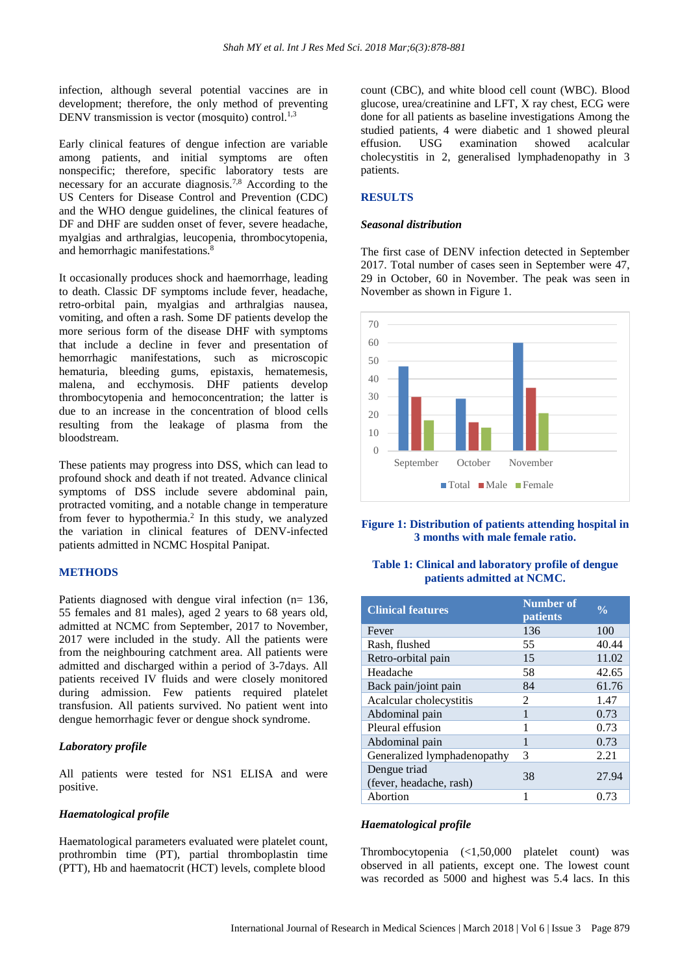infection, although several potential vaccines are in development; therefore, the only method of preventing DENV transmission is vector (mosquito) control.<sup>1,3</sup>

Early clinical features of dengue infection are variable among patients, and initial symptoms are often nonspecific; therefore, specific laboratory tests are necessary for an accurate diagnosis.<sup>7,8</sup> According to the US Centers for Disease Control and Prevention (CDC) and the WHO dengue guidelines, the clinical features of DF and DHF are sudden onset of fever, severe headache, myalgias and arthralgias, leucopenia, thrombocytopenia, and hemorrhagic manifestations.<sup>8</sup>

It occasionally produces shock and haemorrhage, leading to death. Classic DF symptoms include fever, headache, retro-orbital pain, myalgias and arthralgias nausea, vomiting, and often a rash. Some DF patients develop the more serious form of the disease DHF with symptoms that include a decline in fever and presentation of hemorrhagic manifestations, such as microscopic hematuria, bleeding gums, epistaxis, hematemesis, malena, and ecchymosis. DHF patients develop thrombocytopenia and hemoconcentration; the latter is due to an increase in the concentration of blood cells resulting from the leakage of plasma from the bloodstream.

These patients may progress into DSS, which can lead to profound shock and death if not treated. Advance clinical symptoms of DSS include severe abdominal pain, protracted vomiting, and a notable change in temperature from fever to hypothermia.<sup>2</sup> In this study, we analyzed the variation in clinical features of DENV-infected patients admitted in NCMC Hospital Panipat.

#### **METHODS**

Patients diagnosed with dengue viral infection (n= 136, 55 females and 81 males), aged 2 years to 68 years old, admitted at NCMC from September, 2017 to November, 2017 were included in the study. All the patients were from the neighbouring catchment area. All patients were admitted and discharged within a period of 3-7days. All patients received IV fluids and were closely monitored during admission. Few patients required platelet transfusion. All patients survived. No patient went into dengue hemorrhagic fever or dengue shock syndrome.

#### *Laboratory profile*

All patients were tested for NS1 ELISA and were positive.

#### *Haematological profile*

Haematological parameters evaluated were platelet count, prothrombin time (PT), partial thromboplastin time (PTT), Hb and haematocrit (HCT) levels, complete blood

count (CBC), and white blood cell count (WBC). Blood glucose, urea/creatinine and LFT, X ray chest, ECG were done for all patients as baseline investigations Among the studied patients, 4 were diabetic and 1 showed pleural effusion. USG examination showed acalcular cholecystitis in 2, generalised lymphadenopathy in 3 patients.

#### **RESULTS**

#### *Seasonal distribution*

The first case of DENV infection detected in September 2017. Total number of cases seen in September were 47, 29 in October, 60 in November. The peak was seen in November as shown in Figure 1.



## **Figure 1: Distribution of patients attending hospital in 3 months with male female ratio.**

#### **Table 1: Clinical and laboratory profile of dengue patients admitted at NCMC.**

| <b>Clinical features</b>                | <b>Number of</b><br><b>patients</b> | $\frac{0}{0}$ |
|-----------------------------------------|-------------------------------------|---------------|
| Fever                                   | 136                                 | 100           |
| Rash, flushed                           | 55                                  | 40.44         |
| Retro-orbital pain                      | 15                                  | 11.02         |
| Headache                                | 58                                  | 42.65         |
| Back pain/joint pain                    | 84                                  | 61.76         |
| Acalcular cholecystitis                 | 2                                   | 1.47          |
| Abdominal pain                          | 1                                   | 0.73          |
| Pleural effusion                        | 1                                   | 0.73          |
| Abdominal pain                          | 1                                   | 0.73          |
| Generalized lymphadenopathy             | 3                                   | 2.21          |
| Dengue triad<br>(fever, headache, rash) | 38                                  | 27.94         |
| Abortion                                |                                     | 0.73          |

#### *Haematological profile*

Thrombocytopenia (<1,50,000 platelet count) was observed in all patients, except one. The lowest count was recorded as 5000 and highest was 5.4 lacs. In this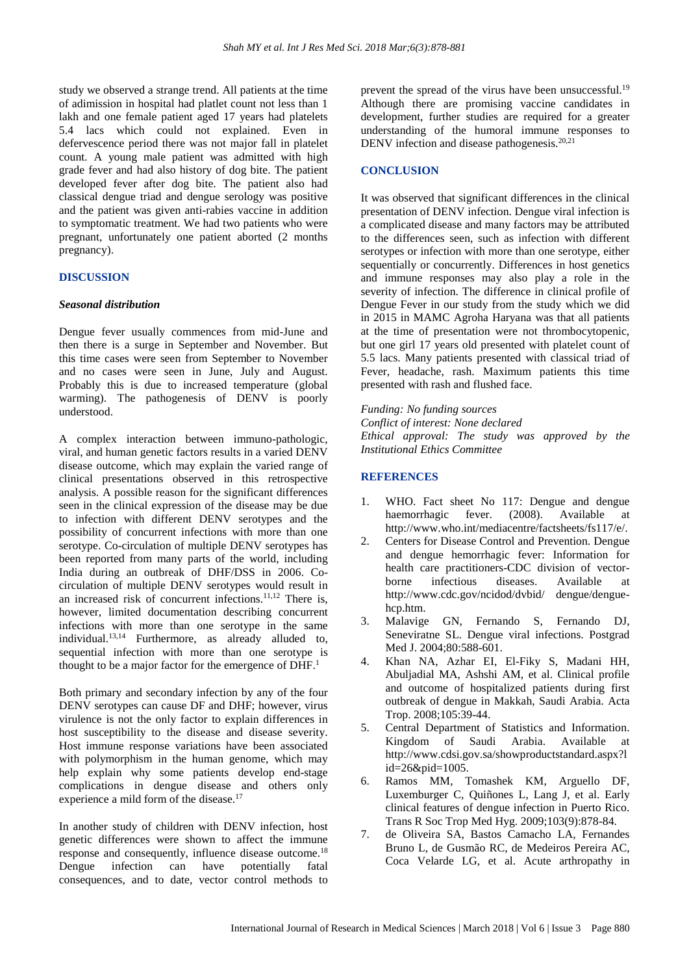study we observed a strange trend. All patients at the time of adimission in hospital had platlet count not less than 1 lakh and one female patient aged 17 years had platelets 5.4 lacs which could not explained. Even in defervescence period there was not major fall in platelet count. A young male patient was admitted with high grade fever and had also history of dog bite. The patient developed fever after dog bite. The patient also had classical dengue triad and dengue serology was positive and the patient was given anti-rabies vaccine in addition to symptomatic treatment. We had two patients who were pregnant, unfortunately one patient aborted (2 months pregnancy).

#### **DISCUSSION**

#### *Seasonal distribution*

Dengue fever usually commences from mid-June and then there is a surge in September and November. But this time cases were seen from September to November and no cases were seen in June, July and August. Probably this is due to increased temperature (global warming). The pathogenesis of DENV is poorly understood.

A complex interaction between immuno-pathologic, viral, and human genetic factors results in a varied DENV disease outcome, which may explain the varied range of clinical presentations observed in this retrospective analysis. A possible reason for the significant differences seen in the clinical expression of the disease may be due to infection with different DENV serotypes and the possibility of concurrent infections with more than one serotype. Co-circulation of multiple DENV serotypes has been reported from many parts of the world, including India during an outbreak of DHF/DSS in 2006. Cocirculation of multiple DENV serotypes would result in an increased risk of concurrent infections.<sup>11,12</sup> There is, however, limited documentation describing concurrent infections with more than one serotype in the same individual.13,14 Furthermore, as already alluded to, sequential infection with more than one serotype is thought to be a major factor for the emergence of  $DHF<sup>1</sup>$ .

Both primary and secondary infection by any of the four DENV serotypes can cause DF and DHF; however, virus virulence is not the only factor to explain differences in host susceptibility to the disease and disease severity. Host immune response variations have been associated with polymorphism in the human genome, which may help explain why some patients develop end-stage complications in dengue disease and others only experience a mild form of the disease.<sup>17</sup>

In another study of children with DENV infection, host genetic differences were shown to affect the immune response and consequently, influence disease outcome.<sup>18</sup> Dengue infection can have potentially fatal consequences, and to date, vector control methods to prevent the spread of the virus have been unsuccessful.<sup>19</sup> Although there are promising vaccine candidates in development, further studies are required for a greater understanding of the humoral immune responses to DENV infection and disease pathogenesis.<sup>20,21</sup>

#### **CONCLUSION**

It was observed that significant differences in the clinical presentation of DENV infection. Dengue viral infection is a complicated disease and many factors may be attributed to the differences seen, such as infection with different serotypes or infection with more than one serotype, either sequentially or concurrently. Differences in host genetics and immune responses may also play a role in the severity of infection. The difference in clinical profile of Dengue Fever in our study from the study which we did in 2015 in MAMC Agroha Haryana was that all patients at the time of presentation were not thrombocytopenic, but one girl 17 years old presented with platelet count of 5.5 lacs. Many patients presented with classical triad of Fever, headache, rash. Maximum patients this time presented with rash and flushed face.

*Funding: No funding sources Conflict of interest: None declared Ethical approval: The study was approved by the Institutional Ethics Committee*

# **REFERENCES**

- 1. WHO. Fact sheet No 117: Dengue and dengue haemorrhagic fever. (2008). Available at http://www.who.int/mediacentre/factsheets/fs117/e/.
- 2. Centers for Disease Control and Prevention. Dengue and dengue hemorrhagic fever: Information for health care practitioners-CDC division of vectorborne infectious diseases. Available at http://www.cdc.gov/ncidod/dvbid/ dengue/denguehcp.htm.
- 3. Malavige GN, Fernando S, Fernando DJ, Seneviratne SL. Dengue viral infections. Postgrad Med J. 2004;80:588-601.
- 4. Khan NA, Azhar EI, El-Fiky S, Madani HH, Abuljadial MA, Ashshi AM, et al. Clinical profile and outcome of hospitalized patients during first outbreak of dengue in Makkah, Saudi Arabia. Acta Trop. 2008;105:39-44.
- 5. Central Department of Statistics and Information. Kingdom of Saudi Arabia. Available at http://www.cdsi.gov.sa/showproductstandard.aspx?l id=26&pid=1005.
- 6. Ramos MM, Tomashek KM, Arguello DF, Luxemburger C, Quiñones L, Lang J, et al. Early clinical features of dengue infection in Puerto Rico. Trans R Soc Trop Med Hyg. 2009;103(9):878-84.
- 7. de Oliveira SA, Bastos Camacho LA, Fernandes Bruno L, de Gusmão RC, de Medeiros Pereira AC, Coca Velarde LG, et al. Acute arthropathy in